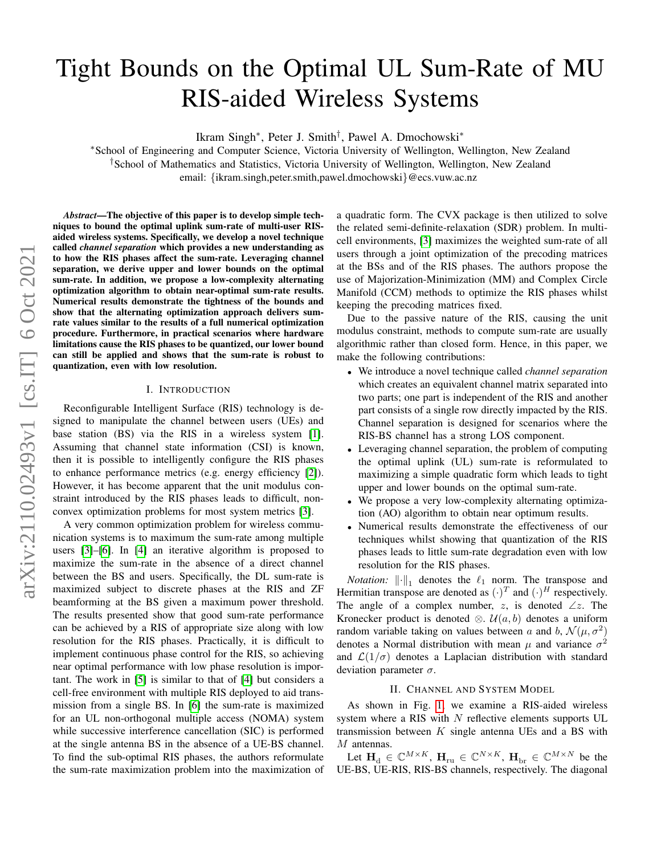# Tight Bounds on the Optimal UL Sum-Rate of MU RIS-aided Wireless Systems

Ikram Singh<sup>∗</sup> , Peter J. Smith† , Pawel A. Dmochowski<sup>∗</sup>

<sup>∗</sup>School of Engineering and Computer Science, Victoria University of Wellington, Wellington, New Zealand †School of Mathematics and Statistics, Victoria University of Wellington, Wellington, New Zealand email: {ikram.singh,peter.smith,pawel.dmochowski}@ecs.vuw.ac.nz

*Abstract*—The objective of this paper is to develop simple techniques to bound the optimal uplink sum-rate of multi-user RISaided wireless systems. Specifically, we develop a novel technique called *channel separation* which provides a new understanding as to how the RIS phases affect the sum-rate. Leveraging channel separation, we derive upper and lower bounds on the optimal sum-rate. In addition, we propose a low-complexity alternating optimization algorithm to obtain near-optimal sum-rate results. Numerical results demonstrate the tightness of the bounds and show that the alternating optimization approach delivers sumrate values similar to the results of a full numerical optimization procedure. Furthermore, in practical scenarios where hardware limitations cause the RIS phases to be quantized, our lower bound can still be applied and shows that the sum-rate is robust to quantization, even with low resolution.

#### I. INTRODUCTION

Reconfigurable Intelligent Surface (RIS) technology is designed to manipulate the channel between users (UEs) and base station (BS) via the RIS in a wireless system [\[1\]](#page-5-0). Assuming that channel state information (CSI) is known, then it is possible to intelligently configure the RIS phases to enhance performance metrics (e.g. energy efficiency [\[2\]](#page-5-1)). However, it has become apparent that the unit modulus constraint introduced by the RIS phases leads to difficult, nonconvex optimization problems for most system metrics [\[3\]](#page-5-2).

A very common optimization problem for wireless communication systems is to maximum the sum-rate among multiple users [\[3\]](#page-5-2)–[\[6\]](#page-5-3). In [\[4\]](#page-5-4) an iterative algorithm is proposed to maximize the sum-rate in the absence of a direct channel between the BS and users. Specifically, the DL sum-rate is maximized subject to discrete phases at the RIS and ZF beamforming at the BS given a maximum power threshold. The results presented show that good sum-rate performance can be achieved by a RIS of appropriate size along with low resolution for the RIS phases. Practically, it is difficult to implement continuous phase control for the RIS, so achieving near optimal performance with low phase resolution is important. The work in [\[5\]](#page-5-5) is similar to that of [\[4\]](#page-5-4) but considers a cell-free environment with multiple RIS deployed to aid transmission from a single BS. In [\[6\]](#page-5-3) the sum-rate is maximized for an UL non-orthogonal multiple access (NOMA) system while successive interference cancellation (SIC) is performed at the single antenna BS in the absence of a UE-BS channel. To find the sub-optimal RIS phases, the authors reformulate the sum-rate maximization problem into the maximization of a quadratic form. The CVX package is then utilized to solve the related semi-definite-relaxation (SDR) problem. In multicell environments, [\[3\]](#page-5-2) maximizes the weighted sum-rate of all users through a joint optimization of the precoding matrices at the BSs and of the RIS phases. The authors propose the use of Majorization-Minimization (MM) and Complex Circle Manifold (CCM) methods to optimize the RIS phases whilst keeping the precoding matrices fixed.

Due to the passive nature of the RIS, causing the unit modulus constraint, methods to compute sum-rate are usually algorithmic rather than closed form. Hence, in this paper, we make the following contributions:

- We introduce a novel technique called *channel separation* which creates an equivalent channel matrix separated into two parts; one part is independent of the RIS and another part consists of a single row directly impacted by the RIS. Channel separation is designed for scenarios where the RIS-BS channel has a strong LOS component.
- Leveraging channel separation, the problem of computing the optimal uplink (UL) sum-rate is reformulated to maximizing a simple quadratic form which leads to tight upper and lower bounds on the optimal sum-rate.
- We propose a very low-complexity alternating optimization (AO) algorithm to obtain near optimum results.
- Numerical results demonstrate the effectiveness of our techniques whilst showing that quantization of the RIS phases leads to little sum-rate degradation even with low resolution for the RIS phases.

*Notation:*  $\|\cdot\|_1$  denotes the  $\ell_1$  norm. The transpose and Hermitian transpose are denoted as  $(\cdot)^T$  and  $(\cdot)^H$  respectively. The angle of a complex number,  $z$ , is denoted  $\angle z$ . The Kronecker product is denoted  $\otimes$ .  $\mathcal{U}(a, b)$  denotes a uniform random variable taking on values between a and b,  $\mathcal{N}(\mu, \sigma^2)$ denotes a Normal distribution with mean  $\mu$  and variance  $\sigma^2$ and  $\mathcal{L}(1/\sigma)$  denotes a Laplacian distribution with standard deviation parameter  $\sigma$ .

#### II. CHANNEL AND SYSTEM MODEL

<span id="page-0-0"></span>As shown in Fig. [1,](#page-1-0) we examine a RIS-aided wireless system where a RIS with  $N$  reflective elements supports UL transmission between  $K$  single antenna UEs and a BS with M antennas.

Let  $\mathbf{H}_{\mathrm{d}} \in \mathbb{C}^{M \times K}$ ,  $\mathbf{H}_{\mathrm{ru}} \in \mathbb{C}^{N \times K}$ ,  $\mathbf{H}_{\mathrm{br}} \in \mathbb{C}^{M \times N}$  be the UE-BS, UE-RIS, RIS-BS channels, respectively. The diagonal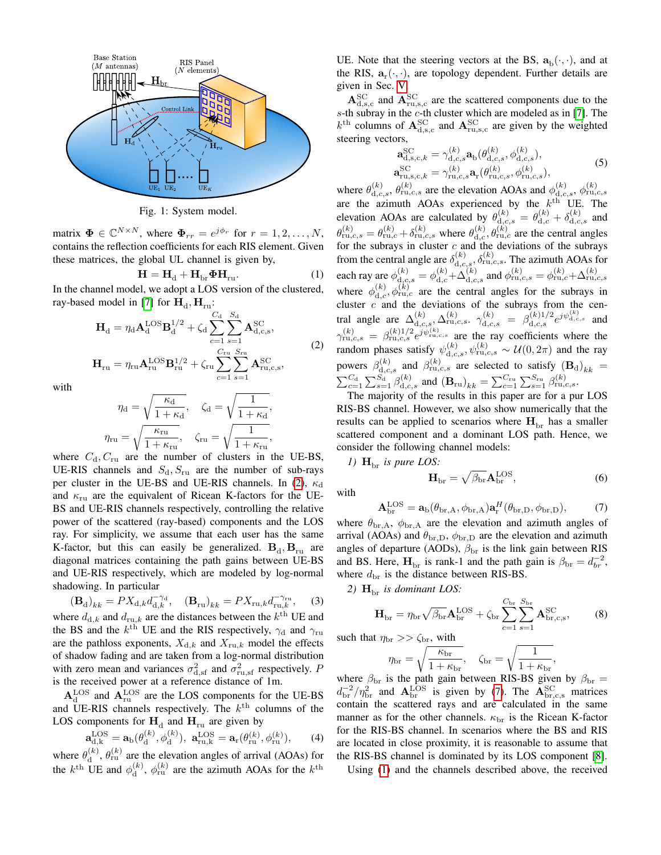<span id="page-1-0"></span>

Fig. 1: System model.

matrix  $\mathbf{\Phi} \in \mathbb{C}^{N \times N}$ , where  $\mathbf{\Phi}_{rr} = e^{j\phi_r}$  for  $r = 1, 2, ..., N$ , contains the reflection coefficients for each RIS element. Given these matrices, the global UL channel is given by,

<span id="page-1-3"></span>
$$
\mathbf{H} = \mathbf{H}_{\mathrm{d}} + \mathbf{H}_{\mathrm{br}} \boldsymbol{\Phi} \mathbf{H}_{\mathrm{ru}}.
$$
 (1)

In the channel model, we adopt a LOS version of the clustered, ray-based model in [\[7\]](#page-5-6) for  $\mathbf{H}_{d}$ ,  $\mathbf{H}_{ru}$ :

$$
\mathbf{H}_{\rm d} = \eta_{\rm d} \mathbf{A}_{\rm d}^{\rm LOS} \mathbf{B}_{\rm d}^{1/2} + \zeta_{\rm d} \sum_{c=1}^{C_{\rm d}} \sum_{s=1}^{S_{\rm d}} \mathbf{A}_{\rm d,c,s}^{\rm SC},
$$
\n
$$
\mathbf{H}_{\rm ru} = \eta_{\rm ru} \mathbf{A}_{\rm ru}^{\rm LOS} \mathbf{B}_{\rm ru}^{1/2} + \zeta_{\rm ru} \sum_{c=1}^{C_{\rm ru}} \sum_{s=1}^{S_{\rm ru}} \mathbf{A}_{\rm ru,c,s}^{\rm SC},
$$
\n(2)

<span id="page-1-1"></span>with

$$
\eta_{\rm d} = \sqrt{\frac{\kappa_{\rm d}}{1 + \kappa_{\rm d}}}, \quad \zeta_{\rm d} = \sqrt{\frac{1}{1 + \kappa_{\rm d}}},
$$

$$
\eta_{\rm ru} = \sqrt{\frac{\kappa_{\rm ru}}{1 + \kappa_{\rm ru}}}, \quad \zeta_{\rm ru} = \sqrt{\frac{1}{1 + \kappa_{\rm ru}}},
$$

where  $C_d$ ,  $C_{ru}$  are the number of clusters in the UE-BS, UE-RIS channels and  $S_d$ ,  $S_{ru}$  are the number of sub-rays per cluster in the UE-BS and UE-RIS channels. In [\(2\)](#page-1-1),  $\kappa_d$ and  $\kappa_{\text{ru}}$  are the equivalent of Ricean K-factors for the UE-BS and UE-RIS channels respectively, controlling the relative power of the scattered (ray-based) components and the LOS ray. For simplicity, we assume that each user has the same K-factor, but this can easily be generalized.  $B_d$ ,  $B_{ru}$  are diagonal matrices containing the path gains between UE-BS and UE-RIS respectively, which are modeled by log-normal shadowing. In particular

<span id="page-1-5"></span>
$$
(\mathbf{B}_d)_{kk} = PX_{d,k}d_{d,k}^{-\gamma_d}, \quad (\mathbf{B}_{ru})_{kk} = PX_{ru,k}d_{ru,k}^{-\gamma_{ru}}, \quad (3)
$$
  
where  $d_{d,k}$  and  $d_{ru,k}$  are the distances between the  $k^{\text{th}}$  UE and  
the BS and the  $k^{\text{th}}$  UE and the RIS respectively,  $\gamma_d$  and  $\gamma_{ru}$   
are the pathloss exponents,  $X_{d,k}$  and  $X_{ru,k}$  model the effects  
of shadow fading and are taken from a log-normal distribution  
with zero mean and variances  $\sigma_{d,sf}^2$  and  $\sigma_{ru,sf}^2$  respectively. P  
is the received power at a reference distance of 1m.

 $A<sub>d</sub><sup>LOS</sup>$  and  $A<sub>ru</sub><sup>LOS</sup>$  are the LOS components for the UE-BS and UE-RIS channels respectively. The  $k<sup>th</sup>$  columns of the LOS components for  $\mathbf{H}_{\text{d}}$  and  $\mathbf{H}_{\text{ru}}$  are given by

$$
\mathbf{a}_{\mathrm{d},k}^{\mathrm{LOS}} = \mathbf{a}_{\mathrm{b}}(\theta_{\mathrm{d}}^{(k)}, \phi_{\mathrm{d}}^{(k)}), \ \mathbf{a}_{\mathrm{ru},k}^{\mathrm{LOS}} = \mathbf{a}_{\mathrm{r}}(\theta_{\mathrm{ru}}^{(k)}, \phi_{\mathrm{ru}}^{(k)}), \tag{4}
$$

where  $\theta_d^{(k)}$  $\mathbf{d}^{(k)}$ ,  $\theta_{\rm ru}^{(k)}$  are the elevation angles of arrival (AOAs) for the  $k^{\text{th}}$  UE and  $\phi_d^{(k)}$  $\phi_d^{(k)}$ ,  $\phi_{\rm ru}^{(k)}$  are the azimuth AOAs for the  $k^{\rm th}$ 

UE. Note that the steering vectors at the BS,  $\mathbf{a}_{b}(\cdot,\cdot)$ , and at the RIS,  $a_r(\cdot, \cdot)$ , are topology dependent. Further details are given in Sec. [V.](#page-3-0)

 ${\bf A}_{\rm d,s,c}^{\rm SC}$  and  ${\bf A}_{\rm ru,s,c}^{\rm SC}$  are the scattered components due to the s-th subray in the c-th cluster which are modeled as in [\[7\]](#page-5-6). The  $k^{\text{th}}$  columns of  $\mathbf{A}_{\text{d,s,c}}^{\text{SC}}$  and  $\mathbf{A}_{\text{ru,s,c}}^{\text{SC}}$  are given by the weighted steering vectors,

$$
\mathbf{a}_{d,s,c,k}^{\text{SC}} = \gamma_{d,c,s}^{(k)} \mathbf{a}_{\text{b}}(\theta_{d,c,s}^{(k)}, \phi_{d,c,s}^{(k)}), \n\mathbf{a}_{ru,s,c,k}^{\text{SC}} = \gamma_{ru,c,s}^{(k)} \mathbf{a}_{\text{r}}(\theta_{ru,c,s}^{(k)}, \phi_{ru,c,s}^{(k)}),
$$
\n(5)

where  $\theta_{d,c,s}^{(k)}$ ,  $\theta_{ru,c,s}^{(k)}$  are the elevation AOAs and  $\phi_{d,c,s}^{(k)}$ ,  $\phi_{ru,c,s}^{(k)}$ are the azimuth AOAs experienced by the  $k^{\text{th}}$  UE. The elevation AOAs are calculated by  $\theta_{\text{d},c,s}^{(k)} = \theta_{\text{d},c}^{(k)} + \delta_{\text{d},c,s}^{(k)}$  and  $\theta_{ru,c,s}^{(k)} = \theta_{ru,c}^{(k)} + \delta_{ru,c,s}^{(k)}$  where  $\theta_{d,c}^{(k)}$ ,  $\theta_{ru,c}^{(k)}$  are the central angles for the subrays in cluster  $c$  and the deviations of the subrays from the central angle are  $\delta_{\text{d},c,s}^{(k)}$ ,  $\delta_{\text{ru},c,s}^{(k)}$ . The azimuth AOAs for each ray are  $\phi_{d,c,s}^{(k)} = \phi_{d,c}^{(k)} + \Delta_{d,c,s}^{(k)}$  and  $\phi_{ru,c,s}^{(k)} = \phi_{ru,c}^{(k)} + \Delta_{ru,c,s}^{(k)}$ where  $\phi_{d,c}^{(k)}$ ,  $\phi_{ru,c}^{(k)}$  are the central angles for the subrays in cluster  $c$  and the deviations of the subrays from the central angle are  $\Delta_{d,c,s}^{(k)}$ ,  $\Delta_{ru,c,s}^{(k)}$ ,  $\gamma_{d,c,s}^{(k)} = \beta_{d,c,s}^{(k)1/2} e^{j \psi_{d,c,s}^{(k)}}$  and  $\gamma_{\text{ru},c,s}^{(k)} = \beta_{\text{ru},c,s}^{(k)1/2} e^{j\psi_{\text{ru},c,s}^{(k)}}$  are the ray coefficients where the random phases satisfy  $\psi_{d,c,s}^{(k)}$ ,  $\psi_{ru,c,s}^{(k)} \sim \mathcal{U}(0, 2\pi)$  and the ray powers  $\beta_{\text{d},c,s}^{(k)}$  and  $\beta_{\text{ru},c,s}^{(k)}$  are selected to satisfy  $(\mathbf{B}_d)_{kk}$  =  $\sum_{c=1}^{C_d} \sum_{s=1}^{S_d} \beta_{d,c,s}^{(k)}$  and  $(\mathbf{B}_{ru})_{kk} = \sum_{c=1}^{C_{ru}} \sum_{s=1}^{S_{ru}} \beta_{ru,c,s}^{(k)}$ .

The majority of the results in this paper are for a pur LOS RIS-BS channel. However, we also show numerically that the results can be applied to scenarios where  $H_{\text{br}}$  has a smaller scattered component and a dominant LOS path. Hence, we consider the following channel models:

*1)*  $H_{\text{br}}$  *is pure LOS:* 

with

<span id="page-1-4"></span>
$$
\mathbf{H}_{\text{br}} = \sqrt{\beta_{\text{br}}} \mathbf{A}_{\text{br}}^{\text{LOS}},\tag{6}
$$

<span id="page-1-2"></span>
$$
\mathbf{A}_{\text{br}}^{\text{LOS}} = \mathbf{a}_{\text{b}}(\theta_{\text{br},A}, \phi_{\text{br},A}) \mathbf{a}_{\text{r}}^{H}(\theta_{\text{br},D}, \phi_{\text{br},D}), \tag{7}
$$

where  $\theta_{\rm br, A}$ ,  $\phi_{\rm br, A}$  are the elevation and azimuth angles of arrival (AOAs) and  $\theta_{\rm br, D}$ ,  $\phi_{\rm br, D}$  are the elevation and azimuth angles of departure (AODs),  $\beta_{\rm br}$  is the link gain between RIS and BS. Here,  $\mathbf{H}_{\text{br}}$  is rank-1 and the path gain is  $\beta_{\text{br}} = d_{br}^{-2}$ , where  $d_{\text{br}}$  is the distance between RIS-BS.

2)  $H<sub>br</sub>$  *is dominant LOS:* 

$$
\mathbf{H}_{\text{br}} = \eta_{\text{br}} \sqrt{\beta_{\text{br}}} \mathbf{A}_{\text{br}}^{\text{LOS}} + \zeta_{\text{br}} \sum_{c=1}^{C_{\text{br}}} \sum_{s=1}^{S_{\text{br}}} \mathbf{A}_{\text{br,c,s}}^{\text{SC}}, \tag{8}
$$

such that  $\eta_{\rm br} >> \zeta_{\rm br}$ , with

$$
\eta_{\rm br} = \sqrt{\frac{\kappa_{\rm br}}{1 + \kappa_{\rm br}}}, \quad \zeta_{\rm br} = \sqrt{\frac{1}{1 + \kappa_{\rm br}}},
$$

where  $\beta_{\rm br}$  is the path gain between RIS-BS given by  $\beta_{\rm br}$  =  $d_{\rm br}^{-2}/\eta_{\rm br}^2$  and  ${\bf A}_{\rm br}^{\rm LOS}$  is given by [\(7\)](#page-1-2). The  ${\bf A}_{\rm br,c,s}^{\rm SC}$  matrices contain the scattered rays and are calculated in the same manner as for the other channels.  $\kappa_{\rm br}$  is the Ricean K-factor for the RIS-BS channel. In scenarios where the BS and RIS are located in close proximity, it is reasonable to assume that the RIS-BS channel is dominated by its LOS component [\[8\]](#page-5-7).

Using [\(1\)](#page-1-3) and the channels described above, the received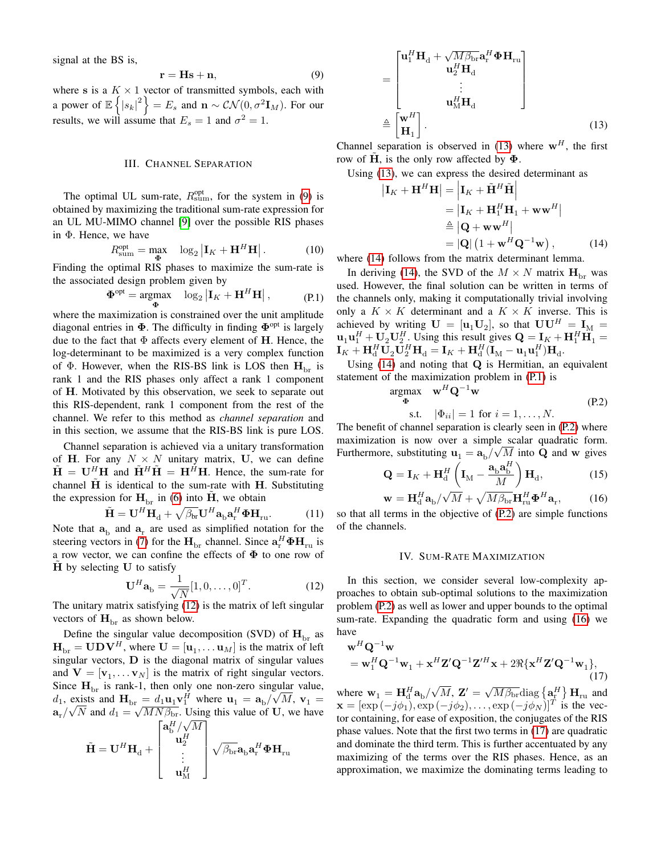signal at the BS is,

<span id="page-2-0"></span>
$$
\mathbf{r} = \mathbf{H}\mathbf{s} + \mathbf{n},\tag{9}
$$

where s is a  $K \times 1$  vector of transmitted symbols, each with a power of  $\mathbb{E}\left\{|s_k|^2\right\} = E_s$  and  $\mathbf{n} \sim \mathcal{CN}(0, \sigma^2 \mathbf{I}_M)$ . For our results, we will assume that  $E_s = 1$  and  $\sigma^2 = 1$ .

#### III. CHANNEL SEPARATION

The optimal UL sum-rate,  $R_{\text{sum}}^{\text{opt}}$ , for the system in [\(9\)](#page-2-0) is obtained by maximizing the traditional sum-rate expression for an UL MU-MIMO channel [\[9\]](#page-5-8) over the possible RIS phases in Φ. Hence, we have

<span id="page-2-8"></span>
$$
R_{\text{sum}}^{\text{opt}} = \max_{\Phi} \quad \log_2 \left| \mathbf{I}_K + \mathbf{H}^H \mathbf{H} \right|.
$$
 (10)

Finding the optimal RIS phases to maximize the sum-rate is the associated design problem given by

$$
\Phi^{\text{opt}} = \underset{\Phi}{\text{argmax}} \quad \log_2 \left| \mathbf{I}_K + \mathbf{H}^H \mathbf{H} \right|, \tag{P.1}
$$

where the maximization is constrained over the unit amplitude diagonal entries in  $\Phi$ . The difficulty in finding  $\Phi^{\text{opt}}$  is largely due to the fact that  $\Phi$  affects every element of H. Hence, the log-determinant to be maximized is a very complex function of  $\Phi$ . However, when the RIS-BS link is LOS then  $H_{\text{br}}$  is rank 1 and the RIS phases only affect a rank 1 component of H. Motivated by this observation, we seek to separate out this RIS-dependent, rank 1 component from the rest of the channel. We refer to this method as *channel separation* and in this section, we assume that the RIS-BS link is pure LOS.

Channel separation is achieved via a unitary transformation of H. For any  $N \times N$  unitary matrix, U, we can define  $\tilde{\mathbf{H}} = \mathbf{U}^H \mathbf{H}$  and  $\tilde{\mathbf{H}}^H \tilde{\mathbf{H}} = \mathbf{H}^H \mathbf{H}$ . Hence, the sum-rate for channel  $\tilde{H}$  is identical to the sum-rate with H. Substituting the expression for  $H_{\text{br}}$  in [\(6\)](#page-1-4) into  $\hat{H}$ , we obtain

$$
\tilde{\mathbf{H}} = \mathbf{U}^H \mathbf{H}_d + \sqrt{\beta_{\text{br}}} \mathbf{U}^H \mathbf{a}_b \mathbf{a}_r^H \mathbf{\Phi} \mathbf{H}_{\text{ru}}.
$$
 (11)

Note that  $a_{b}$  and  $a_{r}$  are used as simplified notation for the steering vectors in [\(7\)](#page-1-2) for the  $H_{\text{br}}$  channel. Since  $\mathbf{a}^H_{\text{r}}\mathbf{\Phi}\mathbf{H}_{\text{ru}}$  is a row vector, we can confine the effects of  $\Phi$  to one row of  $\hat{H}$  by selecting U to satisfy

<span id="page-2-1"></span>
$$
\mathbf{U}^H \mathbf{a}_{\mathbf{b}} = \frac{1}{\sqrt{N}} [1, 0, \dots, 0]^T.
$$
 (12)

The unitary matrix satisfying [\(12\)](#page-2-1) is the matrix of left singular vectors of  $H_{\text{br}}$  as shown below.

Define the singular value decomposition (SVD) of  $\mathbf{H}_{\text{br}}$  as  $\mathbf{H}_{\text{br}} = \mathbf{U} \mathbf{D} \mathbf{V}^H$ , where  $\mathbf{U} = [\mathbf{u}_1, \dots \mathbf{u}_M]$  is the matrix of left singular vectors,  $\bf{D}$  is the diagonal matrix of singular values and  $V = [v_1, \dots v_N]$  is the matrix of right singular vectors. Since  $H_{\text{br}}$  is rank-1, then only one non-zero singular value,  $d_1$ , exists and  $\mathbf{H}_{\text{br}} = d_1 \mathbf{u}_1 \mathbf{v}_1^H$  where  $\mathbf{u}_1 = \mathbf{a}_{\text{b}} / \sqrt{M}$ ,  $\mathbf{v}_1 =$  $\mathbf{a_r}/$ √ SISS and  $H_{\text{br}} = a_1 \mathbf{u}_1 \mathbf{v}_1$  where  $\mathbf{u}_1 = \mathbf{a}_{\text{b}} / \sqrt{M}$ ,  $\mathbf{v}_1 = \overline{N}$  and  $d_1 = \sqrt{MN\beta_{\text{br}}}$ . Using this value of U, we have  $\left[\mathbf{a}^H_\mathrm{b}/\sqrt{M}\right]$ 

$$
\tilde{\mathbf{H}} = \mathbf{U}^H \mathbf{H}_d + \begin{bmatrix} \mathbf{u}_2^H \\ \mathbf{u}_2^H \\ \vdots \\ \mathbf{u}_M^H \end{bmatrix} \sqrt{\beta_{\text{br}}} \mathbf{a}_{\text{b}} \mathbf{a}_{\text{r}}^H \mathbf{\Phi} \mathbf{H}_{\text{ru}}
$$

$$
= \begin{bmatrix} \mathbf{u}_{1}^{H} \mathbf{H}_{d} + \sqrt{M \beta_{\text{br}}} \mathbf{a}_{r}^{H} \boldsymbol{\Phi} \mathbf{H}_{\text{ru}} \\ \mathbf{u}_{2}^{H} \mathbf{H}_{d} \\ \vdots \\ \mathbf{u}_{M}^{H} \mathbf{H}_{d} \end{bmatrix}
$$

$$
\triangleq \begin{bmatrix} \mathbf{w}^{H} \\ \mathbf{H}_{1} \end{bmatrix} .
$$
(13)

Channel separation is observed in [\(13\)](#page-2-2) where  $w<sup>H</sup>$ , the first row of H, is the only row affected by  $\Phi$ .

Using [\(13\)](#page-2-2), we can express the desired determinant as

<span id="page-2-3"></span><span id="page-2-2"></span>
$$
\left| \mathbf{I}_{K} + \mathbf{H}^{H} \mathbf{H} \right| = \left| \mathbf{I}_{K} + \tilde{\mathbf{H}}^{H} \tilde{\mathbf{H}} \right|
$$
  
\n
$$
= \left| \mathbf{I}_{K} + \mathbf{H}_{1}^{H} \mathbf{H}_{1} + \mathbf{w} \mathbf{w}^{H} \right|
$$
  
\n
$$
\stackrel{\triangle}{=} \left| \mathbf{Q} + \mathbf{w} \mathbf{w}^{H} \right|
$$
  
\n
$$
= \left| \mathbf{Q} \right| \left( 1 + \mathbf{w}^{H} \mathbf{Q}^{-1} \mathbf{w} \right), \qquad (14)
$$

where [\(14\)](#page-2-3) follows from the matrix determinant lemma.

<span id="page-2-4"></span>In deriving [\(14\)](#page-2-3), the SVD of the  $M \times N$  matrix  $H_{\text{br}}$  was used. However, the final solution can be written in terms of the channels only, making it computationally trivial involving only a  $K \times K$  determinant and a  $K \times K$  inverse. This is achieved by writing  $\mathbf{U} = [\mathbf{u}_1 \mathbf{U}_2]$ , so that  $\mathbf{U} \mathbf{U}^H = \mathbf{I}_M$  $\mathbf{u}_1 \mathbf{u}_1^H + \mathbf{U}_2 \mathbf{U}_2^H$ . Using this result gives  $\mathbf{Q} = \mathbf{I}_K + \mathbf{H}_1^H \mathbf{H}_1 =$  $\mathbf{I}_K + \mathbf{H}^H_{\mathrm{d}} \mathbf{U}_2 \mathbf{U}^H_2 \mathbf{H}_{\mathrm{d}} = \mathbf{I}_K + \mathbf{H}^H_{\mathrm{d}} (\mathbf{I}_{{\mathrm{M}}} - \mathbf{u}_1 \mathbf{u}_1^H) \mathbf{H}_{\mathrm{d}}.$ 

Using [\(14\)](#page-2-3) and noting that Q is Hermitian, an equivalent statement of the maximization problem in [\(P.1\)](#page-2-4) is

<span id="page-2-5"></span>
$$
\begin{aligned}\n\arg\max_{\Phi} & \mathbf{w}^H \mathbf{Q}^{-1} \mathbf{w} \\
\text{s.t.} & |\Phi_{ii}| = 1 \text{ for } i = 1, \dots, N.\n\end{aligned} \tag{P.2}
$$

The benefit of channel separation is clearly seen in [\(P.2\)](#page-2-5) where maximization is now over a simple scalar quadratic form. Furthermore, substituting  $\mathbf{u}_1 = \mathbf{a}_b / \sqrt{M}$  into Q and w gives

$$
\mathbf{Q} = \mathbf{I}_K + \mathbf{H}_d^H \left( \mathbf{I}_M - \frac{\mathbf{a}_b \mathbf{a}_b^H}{M} \right) \mathbf{H}_d, \tag{15}
$$

$$
\mathbf{w} = \mathbf{H}_{\mathrm{d}}^H \mathbf{a}_{\mathrm{b}} / \sqrt{M} + \sqrt{M \beta_{\mathrm{br}}} \mathbf{H}_{\mathrm{ru}}^H \mathbf{\Phi}^H \mathbf{a}_{\mathrm{r}},\tag{16}
$$

so that all terms in the objective of [\(P.2\)](#page-2-5) are simple functions of the channels.

#### <span id="page-2-7"></span><span id="page-2-6"></span>IV. SUM-RATE MAXIMIZATION

<span id="page-2-9"></span>In this section, we consider several low-complexity approaches to obtain sub-optimal solutions to the maximization problem [\(P.2\)](#page-2-5) as well as lower and upper bounds to the optimal sum-rate. Expanding the quadratic form and using [\(16\)](#page-2-6) we have

$$
\mathbf{w}^{H}\mathbf{Q}^{-1}\mathbf{w}
$$
  
=  $\mathbf{w}_{1}^{H}\mathbf{Q}^{-1}\mathbf{w}_{1} + \mathbf{x}^{H}\mathbf{Z}'\mathbf{Q}^{-1}\mathbf{Z}'^{H}\mathbf{x} + 2\Re{\{\mathbf{x}^{H}\mathbf{Z}'\mathbf{Q}^{-1}\mathbf{w}_{1}\}},$  (17)

where  $\mathbf{w}_1 = \mathbf{H}_d^H \mathbf{a}_b$ /  $\overline{M}$ ,  $\mathbf{Z}' = \sqrt{M\beta_{\text{br}}} \text{diag} \left\{ \mathbf{a}_{\text{r}}^{H} \right\} \mathbf{H}_{\text{ru}}$  and  $\mathbf{x} = [\exp(-j\phi_1), \exp(-j\phi_2), \dots, \exp(-j\phi_N)]^T$  is the vector containing, for ease of exposition, the conjugates of the RIS phase values. Note that the first two terms in [\(17\)](#page-2-7) are quadratic and dominate the third term. This is further accentuated by any maximizing of the terms over the RIS phases. Hence, as an approximation, we maximize the dominating terms leading to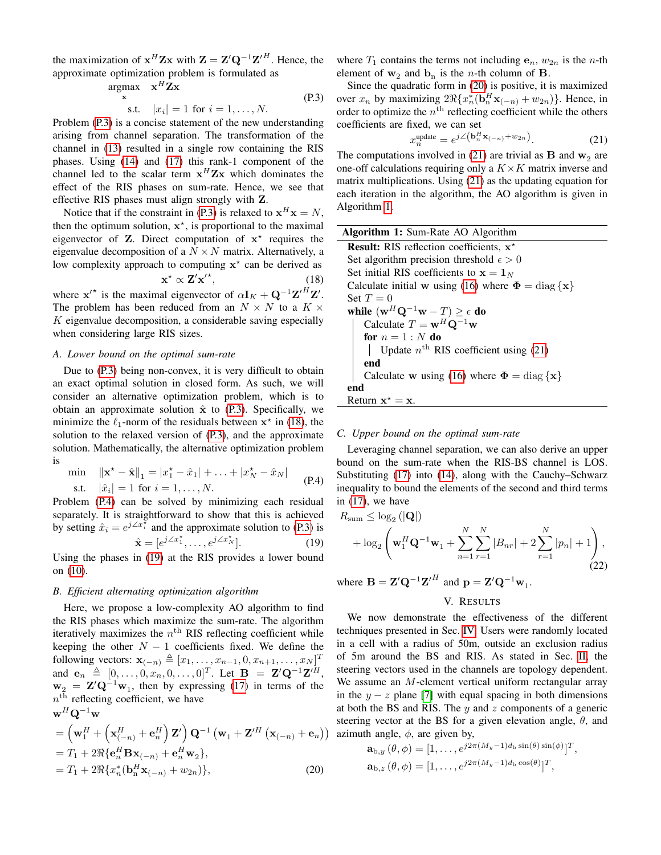the maximization of  $x^H Zx$  with  $Z = Z' Q^{-1} Z'^H$ . Hence, the approximate optimization problem is formulated as

<span id="page-3-2"></span>
$$
\underset{\mathbf{x}}{\operatorname{argmax}} \quad \mathbf{x}^{H} \mathbf{Z} \mathbf{x}
$$
\n
$$
\text{s.t.} \quad |x_{i}| = 1 \text{ for } i = 1, \dots, N. \tag{P.3}
$$

Problem [\(P.3\)](#page-3-1) is a concise statement of the new understanding arising from channel separation. The transformation of the channel in [\(13\)](#page-2-2) resulted in a single row containing the RIS phases. Using [\(14\)](#page-2-3) and [\(17\)](#page-2-7) this rank-1 component of the channel led to the scalar term  $x^H Z x$  which dominates the effect of the RIS phases on sum-rate. Hence, we see that effective RIS phases must align strongly with Z.

Notice that if the constraint in [\(P.3\)](#page-3-1) is relaxed to  $x^H x = N$ , then the optimum solution,  $x^*$ , is proportional to the maximal eigenvector of  $Z$ . Direct computation of  $x^*$  requires the eigenvalue decomposition of a  $N \times N$  matrix. Alternatively, a low complexity approach to computing  $x^*$  can be derived as

$$
\mathbf{x}^{\star} \propto \mathbf{Z}' \mathbf{x}'^{\star},\tag{18}
$$

where  $\mathbf{x}'^*$  is the maximal eigenvector of  $\alpha \mathbf{I}_K + \mathbf{Q}^{-1} \mathbf{Z}'^H \mathbf{Z}'$ . The problem has been reduced from an  $N \times N$  to a  $K \times$  $K$  eigenvalue decomposition, a considerable saving especially when considering large RIS sizes.

## *A. Lower bound on the optimal sum-rate*

Due to [\(P.3\)](#page-3-1) being non-convex, it is very difficult to obtain an exact optimal solution in closed form. As such, we will consider an alternative optimization problem, which is to obtain an approximate solution  $\hat{x}$  to [\(P.3\)](#page-3-1). Specifically, we minimize the  $\ell_1$ -norm of the residuals between  $x^*$  in [\(18\)](#page-3-2), the solution to the relaxed version of [\(P.3\)](#page-3-1), and the approximate solution. Mathematically, the alternative optimization problem is

<span id="page-3-4"></span>
$$
\min \quad \|\mathbf{x}^* - \hat{\mathbf{x}}\|_1 = |x_1^* - \hat{x}_1| + \dots + |x_N^* - \hat{x}_N|
$$
\ns.t.

\n
$$
|\hat{x}_i| = 1 \text{ for } i = 1, \dots, N.
$$
\n(P.4)

Problem [\(P.4\)](#page-3-3) can be solved by minimizing each residual separately. It is straightforward to show that this is achieved by setting  $\hat{x}_i = e^{j \angle x_i^{\mathsf{X}}}$  and the approximate solution to [\(P.3\)](#page-3-1) is j∠x  $\star$  $x^1, \ldots, e^{j \angle x}$  $\star$ 

$$
\hat{\mathbf{x}} = [e^{j2x_1}, \dots, e^{j2x_N}].
$$
\n(19)

Using the phases in [\(19\)](#page-3-4) at the RIS provides a lower bound on [\(10\)](#page-2-8).

#### *B. Efficient alternating optimization algorithm*

Here, we propose a low-complexity AO algorithm to find the RIS phases which maximize the sum-rate. The algorithm iteratively maximizes the  $n<sup>th</sup>$  RIS reflecting coefficient while keeping the other  $N - 1$  coefficients fixed. We define the following vectors:  $\mathbf{x}_{(-n)} \triangleq [x_1, \ldots, x_{n-1}, 0, x_{n+1}, \ldots, x_N]^T$ and  $\mathbf{e}_n \triangleq [0, \dots, 0, x_n, 0, \dots, 0]^T$ . Let  $\mathbf{B} = \mathbf{Z}' \mathbf{Q}^{-1} \mathbf{Z}'^H$ ,  $\mathbf{w}_2 = \mathbf{Z}' \mathbf{Q}^{-1} \mathbf{w}_1$ , then by expressing [\(17\)](#page-2-7) in terms of the  $n<sup>th</sup>$  reflecting coefficient, we have  $w^H\Omega^{-1}$ w

$$
\mathbf{w} \cdot \mathbf{Q} \mathbf{w}
$$
\n
$$
= \left(\mathbf{w}_1^H + \left(\mathbf{x}_{(-n)}^H + \mathbf{e}_n^H\right)\mathbf{Z}'\right)\mathbf{Q}^{-1}\left(\mathbf{w}_1 + \mathbf{Z}'^H\left(\mathbf{x}_{(-n)} + \mathbf{e}_n\right)\right)
$$
\n
$$
= T_1 + 2\Re\{\mathbf{e}_n^H \mathbf{B} \mathbf{x}_{(-n)} + \mathbf{e}_n^H \mathbf{w}_2\},
$$
\n
$$
= T_1 + 2\Re\{x_n^*(\mathbf{b}_n^H \mathbf{x}_{(-n)} + w_{2n})\},
$$
\n(20)

where  $T_1$  contains the terms not including  $e_n$ ,  $w_{2n}$  is the *n*-th element of  $w_2$  and  $b_n$  is the *n*-th column of **B**.

<span id="page-3-1"></span>Since the quadratic form in [\(20\)](#page-3-5) is positive, it is maximized over  $x_n$  by maximizing  $2\Re\{x_n^*(\mathbf{b}_n^H\mathbf{x}_{(-n)} + w_{2n})\}$ . Hence, in order to optimize the  $n<sup>th</sup>$  reflecting coefficient while the others coefficients are fixed, we can set

<span id="page-3-6"></span>
$$
x_n^{\text{update}} = e^{j\angle(\mathbf{b}_n^H \mathbf{x}_{(-n)} + w_{2n})}.
$$
 (21)

The computations involved in [\(21\)](#page-3-6) are trivial as **B** and  $w_2$  are one-off calculations requiring only a  $K \times K$  matrix inverse and matrix multiplications. Using [\(21\)](#page-3-6) as the updating equation for each iteration in the algorithm, the AO algorithm is given in Algorithm [1.](#page-3-7)

| <b>Algorithm 1:</b> Sum-Rate AO Algorithm                                  |  |  |
|----------------------------------------------------------------------------|--|--|
| <b>Result:</b> RIS reflection coefficients, $x^*$                          |  |  |
| Set algorithm precision threshold $\epsilon > 0$                           |  |  |
| Set initial RIS coefficients to $x = 1N$                                   |  |  |
| Calculate initial w using (16) where $\Phi = \text{diag} \{ \mathbf{x} \}$ |  |  |
| Set $T=0$                                                                  |  |  |
| while $(\mathbf{w}^H \mathbf{Q}^{-1} \mathbf{w} - T) \geq \epsilon$ do     |  |  |
| Calculate $T = \mathbf{w}^H \mathbf{Q}^{-1} \mathbf{w}$                    |  |  |
| for $n = 1 : N$ do                                                         |  |  |
| Update $n^{\text{th}}$ RIS coefficient using (21)                          |  |  |
| end                                                                        |  |  |
| Calculate w using (16) where $\Phi = \text{diag} \{ \mathbf{x} \}$         |  |  |
| end                                                                        |  |  |
| Return $x^* = x$ .                                                         |  |  |

### <span id="page-3-7"></span>*C. Upper bound on the optimal sum-rate*

<span id="page-3-3"></span>Leveraging channel separation, we can also derive an upper bound on the sum-rate when the RIS-BS channel is LOS. Substituting [\(17\)](#page-2-7) into [\(14\)](#page-2-3), along with the Cauchy–Schwarz inequality to bound the elements of the second and third terms in [\(17\)](#page-2-7), we have

$$
R_{\text{sum}} \le \log_2 (|\mathbf{Q}|)
$$
  
+  $\log_2 \left( \mathbf{w}_1^H \mathbf{Q}^{-1} \mathbf{w}_1 + \sum_{n=1}^N \sum_{r=1}^N |B_{nr}| + 2 \sum_{r=1}^N |p_n| + 1 \right),$   
(22)

<span id="page-3-0"></span>where  $\mathbf{B} = \mathbf{Z}' \mathbf{Q}^{-1} \mathbf{Z}'^H$  and  $\mathbf{p} = \mathbf{Z}' \mathbf{Q}^{-1} \mathbf{w}_1$ .

## <span id="page-3-8"></span>V. RESULTS

)) azimuth angle,  $\phi$ , are given by, We now demonstrate the effectiveness of the different techniques presented in Sec. [IV.](#page-2-9) Users were randomly located in a cell with a radius of 50m, outside an exclusion radius of 5m around the BS and RIS. As stated in Sec. [II,](#page-0-0) the steering vectors used in the channels are topology dependent. We assume an  $M$ -element vertical uniform rectangular array in the  $y - z$  plane [\[7\]](#page-5-6) with equal spacing in both dimensions at both the BS and RIS. The  $y$  and  $z$  components of a generic steering vector at the BS for a given elevation angle,  $\theta$ , and

<span id="page-3-5"></span>
$$
\mathbf{a}_{b,y}(\theta,\phi) = [1,\ldots,e^{j2\pi(M_y-1)d_b\sin(\theta)\sin(\phi)}]^T,
$$
  

$$
\mathbf{a}_{b,z}(\theta,\phi) = [1,\ldots,e^{j2\pi(M_y-1)d_b\cos(\theta)}]^T,
$$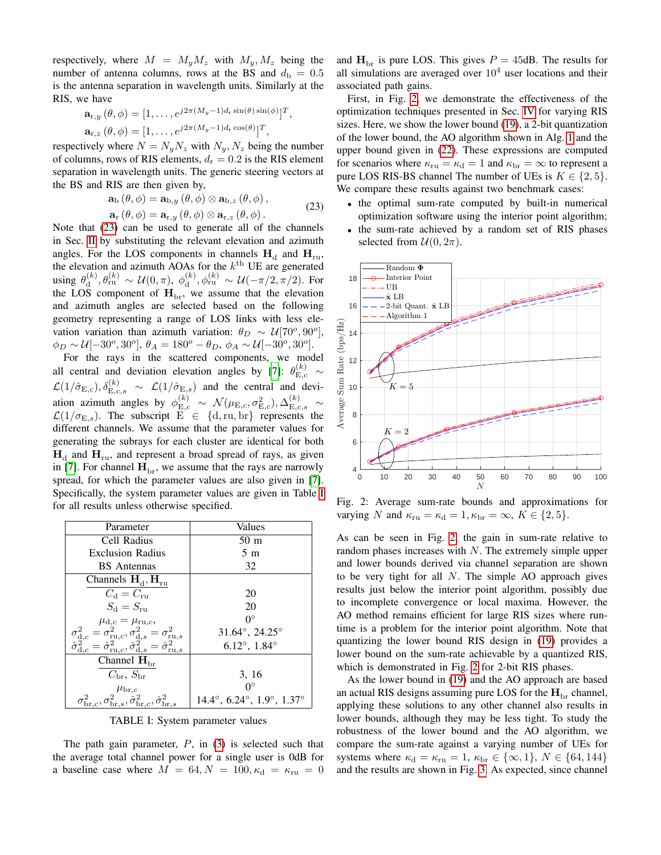respectively, where  $M = M_y M_z$  with  $M_y, M_z$  being the number of antenna columns, rows at the BS and  $d_{\rm b} = 0.5$ is the antenna separation in wavelength units. Similarly at the RIS, we have

$$
\mathbf{a}_{r,y}(\theta,\phi) = [1,\ldots,e^{j2\pi(M_y-1)d_r\sin(\theta)\sin(\phi)}]^T
$$
  

$$
\mathbf{a}_{r,z}(\theta,\phi) = [1,\ldots,e^{j2\pi(M_y-1)d_r\cos(\theta)}]^T,
$$

respectively where  $N = N_y N_z$  with  $N_y, N_z$  being the number of columns, rows of RIS elements,  $d_r = 0.2$  is the RIS element separation in wavelength units. The generic steering vectors at the BS and RIS are then given by,

$$
\mathbf{a}_{\mathrm{b}}(\theta,\phi) = \mathbf{a}_{\mathrm{b},y}(\theta,\phi) \otimes \mathbf{a}_{\mathrm{b},z}(\theta,\phi), \n\mathbf{a}_{\mathrm{r}}(\theta,\phi) = \mathbf{a}_{\mathrm{r},y}(\theta,\phi) \otimes \mathbf{a}_{\mathrm{r},z}(\theta,\phi).
$$
\n(23)

,

<span id="page-4-0"></span>Note that [\(23\)](#page-4-0) can be used to generate all of the channels in Sec. [II](#page-0-0) by substituting the relevant elevation and azimuth angles. For the LOS components in channels  $H_d$  and  $H_{ru}$ , the elevation and azimuth AOAs for the  $k^{\text{th}}$  UE are generated using  $\theta_d^{(k)}$  $\theta_{\rm d}^{(k)}, \theta_{\rm ru}^{(k)}\, \sim\, \mathcal{U}(0,\pi),\ \phi_{\rm d}^{(k)}$  $d_{\rm d}^{(k)}, \phi_{\rm ru}^{(k)} \sim \mathcal{U}(-\pi/2, \pi/2)$ . For the LOS component of  $H_{\text{br}}$ , we assume that the elevation and azimuth angles are selected based on the following geometry representing a range of LOS links with less elevation variation than azimuth variation:  $\theta_D \sim \mathcal{U}[70^\circ, 90^\circ]$ ,  $\phi_D \sim \mathcal{U}[-30^\circ, 30^\circ], \, \theta_A = 180^\circ - \theta_D, \, \phi_A \sim \mathcal{U}[-30^\circ, 30^\circ].$ 

For the rays in the scattered components, we model all central and deviation elevation angles by [\[7\]](#page-5-6):  $\theta_{\text{E,c}}^{(k)} \sim$  $\mathcal{L}(1/\hat{\sigma}_{E,c}), \delta_{E,c,s}^{(k)} \sim \mathcal{L}(1/\hat{\sigma}_{E,s})$  and the central and deviation azimuth angles by  $\phi_{E,c}^{(k)} \sim \mathcal{N}(\mu_{E,c}, \sigma_{E,c}^2), \Delta_{E,c,s}^{(k)} \sim$  $\mathcal{L}(1/\sigma_{\mathrm{E},s})$ . The subscript  $\mathrm{E} \in \{d,\mathrm{ru},\mathrm{br}\}$  represents the different channels. We assume that the parameter values for generating the subrays for each cluster are identical for both  $\mathbf{H}_{\text{d}}$  and  $\mathbf{H}_{\text{ru}}$ , and represent a broad spread of rays, as given in [\[7\]](#page-5-6). For channel  $\mathbf{H}_{\text{br}}$ , we assume that the rays are narrowly spread, for which the parameter values are also given in [\[7\]](#page-5-6). Specifically, the system parameter values are given in Table [I](#page-4-1) for all results unless otherwise specified.

<span id="page-4-1"></span>

| Parameter                                                                                                                                                                                                                                                                                                              | Values                                                  |
|------------------------------------------------------------------------------------------------------------------------------------------------------------------------------------------------------------------------------------------------------------------------------------------------------------------------|---------------------------------------------------------|
| Cell Radius                                                                                                                                                                                                                                                                                                            | 50 <sub>m</sub>                                         |
| <b>Exclusion Radius</b>                                                                                                                                                                                                                                                                                                | 5m                                                      |
| <b>BS</b> Antennas                                                                                                                                                                                                                                                                                                     | 32                                                      |
| Channels $H_d$ , $H_{ru}$                                                                                                                                                                                                                                                                                              |                                                         |
| $C_{\rm d}=C_{\rm ru}$                                                                                                                                                                                                                                                                                                 | 20                                                      |
| $S_{\rm d} = S_{\rm ru}$                                                                                                                                                                                                                                                                                               | 20                                                      |
|                                                                                                                                                                                                                                                                                                                        | $0^{\circ}$                                             |
|                                                                                                                                                                                                                                                                                                                        | $31.64^{\circ}, 24.25^{\circ}$                          |
| $\begin{array}{c} \mu_{\mathrm{d},c}=\mu_{\mathrm{ru},c},\\ \sigma_{\mathrm{d},c}^{2}=\sigma_{\mathrm{ru},c}^{2},\sigma_{\mathrm{d},s}^{2}=\sigma_{\mathrm{ru},s}^{2}\\ \hat{\sigma}_{\mathrm{d},c}^{2}=\hat{\sigma}_{\mathrm{ru},c}^{2},\hat{\sigma}_{\mathrm{d},s}^{2}=\hat{\sigma}_{\mathrm{ru},s}^{2} \end{array}$ | $6.12^{\circ}, 1.84^{\circ}$                            |
| $\overline{\text{Channel H}}_{\text{br}}$                                                                                                                                                                                                                                                                              |                                                         |
| $C_{\rm br}$ , $S_{\rm br}$                                                                                                                                                                                                                                                                                            | 3, 16                                                   |
| $\mu_{\text{br},c}$                                                                                                                                                                                                                                                                                                    | $\Omega^{\circ}$                                        |
| $\sigma_{\text{br},c}^2, \sigma_{\text{br},s}^2, \hat{\sigma}_{\text{br},c}^2, \hat{\sigma}_{\text{br},s}^2$                                                                                                                                                                                                           | $14.4^{\circ}, 6.24^{\circ}, 1.9^{\circ}, 1.37^{\circ}$ |

TABLE I: System parameter values

The path gain parameter,  $P$ , in [\(3\)](#page-1-5) is selected such that the average total channel power for a single user is 0dB for a baseline case where  $M = 64, N = 100, \kappa_d = \kappa_{\text{ru}} = 0$  and  $H_{\text{br}}$  is pure LOS. This gives  $P = 45$ dB. The results for all simulations are averaged over  $10^4$  user locations and their associated path gains.

First, in Fig. [2,](#page-4-2) we demonstrate the effectiveness of the optimization techniques presented in Sec. [IV](#page-2-9) for varying RIS sizes. Here, we show the lower bound [\(19\)](#page-3-4), a 2-bit quantization of the lower bound, the AO algorithm shown in Alg. [1](#page-3-7) and the upper bound given in [\(22\)](#page-3-8). These expressions are computed for scenarios where  $\kappa_{\text{ru}} = \kappa_{\text{d}} = 1$  and  $\kappa_{\text{br}} = \infty$  to represent a pure LOS RIS-BS channel The number of UEs is  $K \in \{2, 5\}$ . We compare these results against two benchmark cases:

- the optimal sum-rate computed by built-in numerical optimization software using the interior point algorithm;
- the sum-rate achieved by a random set of RIS phases selected from  $U(0, 2\pi)$ .

<span id="page-4-2"></span>

Fig. 2: Average sum-rate bounds and approximations for varying N and  $\kappa_{\text{ru}} = \kappa_{\text{d}} = 1, \kappa_{\text{br}} = \infty, K \in \{2, 5\}.$ 

As can be seen in Fig. [2,](#page-4-2) the gain in sum-rate relative to random phases increases with N. The extremely simple upper and lower bounds derived via channel separation are shown to be very tight for all  $N$ . The simple AO approach gives results just below the interior point algorithm, possibly due to incomplete convergence or local maxima. However, the AO method remains efficient for large RIS sizes where runtime is a problem for the interior point algorithm. Note that quantizing the lower bound RIS design in [\(19\)](#page-3-4) provides a lower bound on the sum-rate achievable by a quantized RIS, which is demonstrated in Fig. [2](#page-4-2) for 2-bit RIS phases.

As the lower bound in [\(19\)](#page-3-4) and the AO approach are based an actual RIS designs assuming pure LOS for the  $H_{\text{br}}$  channel, applying these solutions to any other channel also results in lower bounds, although they may be less tight. To study the robustness of the lower bound and the AO algorithm, we compare the sum-rate against a varying number of UEs for systems where  $\kappa_d = \kappa_{ru} = 1$ ,  $\kappa_{br} \in \{\infty, 1\}$ ,  $N \in \{64, 144\}$ and the results are shown in Fig. [3.](#page-5-9) As expected, since channel